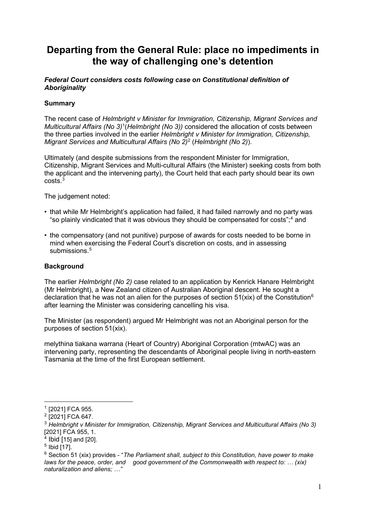# **Departing from the General Rule: place no impediments in the way of challenging one's detention**

## *Federal Court considers costs following case on Constitutional definition of Aboriginality*

# **Summary**

The recent case of *Helmbright v Minister for Immigration, Citizenship, Migrant Services and Multicultural Affairs (No 3)*[1](#page-0-0) (*Helmbright (No 3))* considered the allocation of costs between the three parties involved in the earlier *Helmbright v Minister for Immigration, Citizenship, Migrant Services and Multicultural Affairs (No 2)*[2](#page-0-1) (*Helmbright (No 2)*).

Ultimately (and despite submissions from the respondent Minister for Immigration, Citizenship, Migrant Services and Multi-cultural Affairs (the Minister) seeking costs from both the applicant and the intervening party), the Court held that each party should bear its own  $costs<sup>3</sup>$  $costs<sup>3</sup>$  $costs<sup>3</sup>$ 

The judgement noted:

- that while Mr Helmbright's application had failed, it had failed narrowly and no party was "so plainly vindicated that it was obvious they should be compensated for costs";<sup>4</sup> and
- the compensatory (and not punitive) purpose of awards for costs needed to be borne in mind when exercising the Federal Court's discretion on costs, and in assessing submissions.<sup>[5](#page-0-3)</sup>

## **Background**

The earlier *Helmbright (No 2)* case related to an application by Kenrick Hanare Helmbright (Mr Helmbright), a New Zealand citizen of Australian Aboriginal descent. He sought a declaration that he was not an alien for the purposes of section  $51(xix)$  of the Constitution<sup>[6](#page-0-4)</sup> after learning the Minister was considering cancelling his visa.

The Minister (as respondent) argued Mr Helmbright was not an Aboriginal person for the purposes of section 51(xix).

melythina tiakana warrana (Heart of Country) Aboriginal Corporation (mtwAC) was an intervening party, representing the descendants of Aboriginal people living in north-eastern Tasmania at the time of the first European settlement.

<span id="page-0-0"></span> $1$  [2021] FCA 955.

<span id="page-0-1"></span><sup>&</sup>lt;sup>2</sup> [2021] FCA 647.

<span id="page-0-2"></span><sup>3</sup> *Helmbright v Minister for Immigration, Citizenship, Migrant Services and Multicultural Affairs (No 3)* [2021] FCA 955, 1.

 $4$  Ibid [15] and [20].

<span id="page-0-3"></span><sup>5</sup> Ibid [17].

<span id="page-0-4"></span><sup>6</sup> Section 51 (xix) provides - "*The Parliament shall, subject to this Constitution, have power to make laws for the peace, order, and good government of the Commonwealth with respect to: … (xix) naturalization and aliens; …"*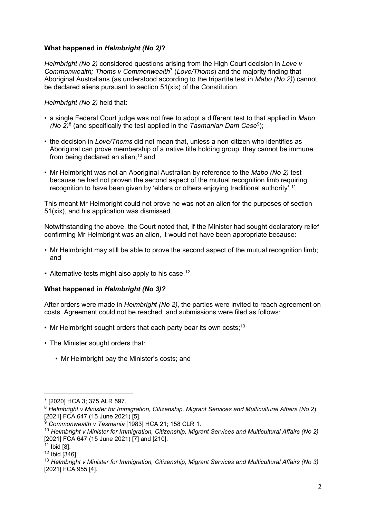## **What happened in** *Helmbright (No 2)***?**

*Helmbright (No 2)* considered questions arising from the High Court decision in *Love v Commonwealth; Thoms v Commonwealth*[7](#page-1-0) (*Love/Thoms*) and the majority finding that Aboriginal Australians (as understood according to the tripartite test in *Mabo (No 2)*) cannot be declared aliens pursuant to section 51(xix) of the Constitution.

*Helmbright (No 2)* held that:

- a single Federal Court judge was not free to adopt a different test to that applied in *Mabo (No 2)*[8](#page-1-1) (and specifically the test applied in the *Tasmanian Dam Case*[9](#page-1-2) );
- the decision in *Love/Thoms* did not mean that, unless a non-citizen who identifies as Aboriginal can prove membership of a native title holding group, they cannot be immune from being declared an alien:  $10$  and
- Mr Helmbright was not an Aboriginal Australian by reference to the *Mabo (No 2)* test because he had not proven the second aspect of the mutual recognition limb requiring recognition to have been given by 'elders or others enjoying traditional authority'.<sup>11</sup>

This meant Mr Helmbright could not prove he was not an alien for the purposes of section 51(xix), and his application was dismissed.

Notwithstanding the above, the Court noted that, if the Minister had sought declaratory relief confirming Mr Helmbright was an alien, it would not have been appropriate because:

- Mr Helmbright may still be able to prove the second aspect of the mutual recognition limb; and
- Alternative tests might also apply to his case.<sup>[12](#page-1-4)</sup>

#### **What happened in** *Helmbright (No 3)?*

After orders were made in *Helmbright (No 2)*, the parties were invited to reach agreement on costs. Agreement could not be reached, and submissions were filed as follows:

- Mr Helmbright sought orders that each party bear its own costs: $13$
- The Minister sought orders that:
	- Mr Helmbright pay the Minister's costs; and

<span id="page-1-0"></span><sup>7</sup> [2020] HCA 3; 375 ALR 597.

<span id="page-1-1"></span><sup>8</sup> *Helmbright v Minister for Immigration, Citizenship, Migrant Services and Multicultural Affairs (No 2*) [2021] FCA 647 (15 June 2021) [5].

<sup>9</sup> *Commonwealth v Tasmania* [1983] HCA 21; 158 CLR 1.

<span id="page-1-3"></span><span id="page-1-2"></span><sup>10</sup> *Helmbright v Minister for Immigration, Citizenship, Migrant Services and Multicultural Affairs (No 2)* [2021] FCA 647 (15 June 2021) [7] and [210].

 $11$  Ibid [8].

<span id="page-1-4"></span><sup>12</sup> Ibid [346].

<span id="page-1-5"></span><sup>13</sup> *Helmbright v Minister for Immigration, Citizenship, Migrant Services and Multicultural Affairs (No 3)* [2021] FCA 955 [4].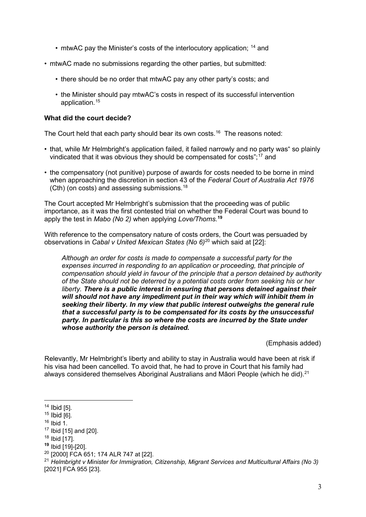- mtwAC pay the Minister's costs of the interlocutory application;  $14$  and
- mtwAC made no submissions regarding the other parties, but submitted:
	- there should be no order that mtwAC pay any other party's costs; and
	- the Minister should pay mtwAC's costs in respect of its successful intervention application.<sup>15</sup>

#### **What did the court decide?**

The Court held that each party should bear its own costs.<sup>[16](#page-2-1)</sup> The reasons noted:

- that, while Mr Helmbright's application failed, it failed narrowly and no party was" so plainly vindicated that it was obvious they should be compensated for costs";<sup>17</sup> and
- the compensatory (not punitive) purpose of awards for costs needed to be borne in mind when approaching the discretion in section 43 of the *Federal Court of Australia Act 1976* (Cth) (on costs) and assessing submissions.[18](#page-2-2)

The Court accepted Mr Helmbright's submission that the proceeding was of public importance, as it was the first contested trial on whether the Federal Court was bound to apply the test in *Mabo (No 2)* when applying *Love/Thoms.*<sup>19</sup>

With reference to the compensatory nature of costs orders, the Court was persuaded by observations in *Cabal v United Mexican States (No 6)*[20](#page-2-3) which said at [22]:

*Although an order for costs is made to compensate a successful party for the expenses incurred in responding to an application or proceeding, that principle of compensation should yield in favour of the principle that a person detained by authority of the State should not be deterred by a potential costs order from seeking his or her liberty. There is a public interest in ensuring that persons detained against their will should not have any impediment put in their way which will inhibit them in seeking their liberty. In my view that public interest outweighs the general rule that a successful party is to be compensated for its costs by the unsuccessful party. In particular is this so where the costs are incurred by the State under whose authority the person is detained.*

(Emphasis added)

Relevantly, Mr Helmbright's liberty and ability to stay in Australia would have been at risk if his visa had been cancelled. To avoid that, he had to prove in Court that his family had always considered themselves Aboriginal Australians and Māori People (which he did).<sup>21</sup>

<sup>21</sup> *Helmbright v Minister for Immigration, Citizenship, Migrant Services and Multicultural Affairs (No 3)* [2021] FCA 955 [23].

<span id="page-2-0"></span> $14$  Ibid [5].

 $15$  Ibid  $[6]$ .

<span id="page-2-1"></span> $16$  Ibid 1.

<sup>17</sup> Ibid [15] and [20].

<span id="page-2-2"></span> $18$  Ibid [17].

**<sup>19</sup>** Ibid [19]-[20].

<span id="page-2-3"></span><sup>20</sup> [2000] FCA 651; 174 ALR 747 at [22].